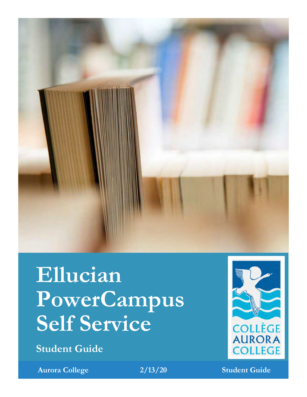

# Ellucian PowerCampus Self Service

Student Guide



Aurora College 2/13/20 Student Guide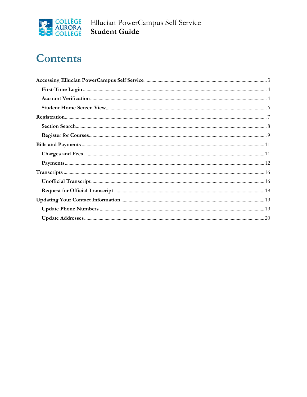

## **Contents**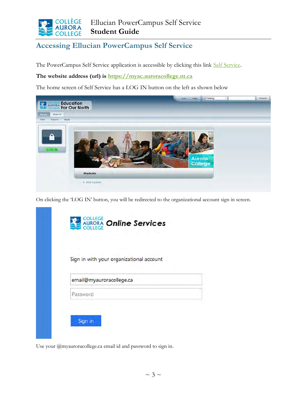

## Accessing Ellucian PowerCampus Self Service

The PowerCampus Self Service application is accessible by clicking this link Self Service.

#### The website address (url) is https://myac.auroracollege.nt.ca

The home screen of Self Service has a LOG IN button on the left as shown below



On clicking the 'LOG IN' button, you will be redirected to the organizational account sign in screen.

|          | Sign in with your organizational account |
|----------|------------------------------------------|
|          | email@myauroracollege.ca                 |
| Password |                                          |

Use your @myauroracollege.ca email id and password to sign in.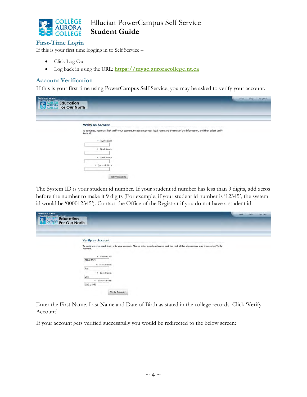

#### First-Time Login

If this is your first time logging in to Self Service –

- Click Log Out
- Log back in using the URL: https://myac.auroracollege.nt.ca

#### Account Verification

If this is your first time using PowerCampus Self Service, you may be asked to verify your account.



The System ID is your student id number. If your student id number has less than 9 digits, add zeros before the number to make it 9 digits (For example, if your student id number is '12345', the system id would be '000012345'). Contact the Office of the Registrar if you do not have a student id.

| Welcome sytest<br>(MYAURORACOLLEGE\sytest)<br><b>AURORA</b><br><b>OLLEGE For Our North</b> | Cart Halp Log Out<br><b>Education</b>                                                                                                                                                                                                                                            |
|--------------------------------------------------------------------------------------------|----------------------------------------------------------------------------------------------------------------------------------------------------------------------------------------------------------------------------------------------------------------------------------|
|                                                                                            | Verify an Account                                                                                                                                                                                                                                                                |
|                                                                                            | To continue, you must first verify your account. Please enter your legal name and the rest of the information, and then select Verify<br>Account.<br>+ System ID<br>000012345<br>+ First Name<br>Joe<br>+ Last Name<br>Doe<br>Date of Birth<br>÷<br>01/31/1950<br>Verify Account |

Enter the First Name, Last Name and Date of Birth as stated in the college records. Click 'Verify Account'

If your account gets verified successfully you would be redirected to the below screen: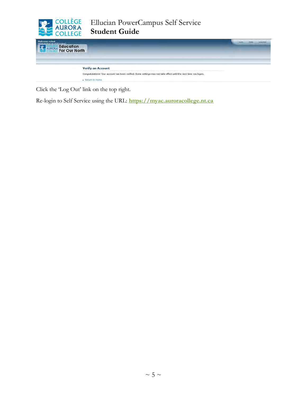



Click the 'Log Out' link on the top right.

Re-login to Self Service using the URL: https://myac.auroracollege.nt.ca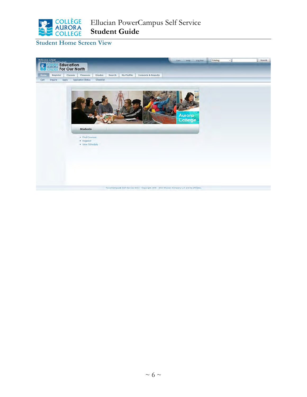

#### Student Home Screen View

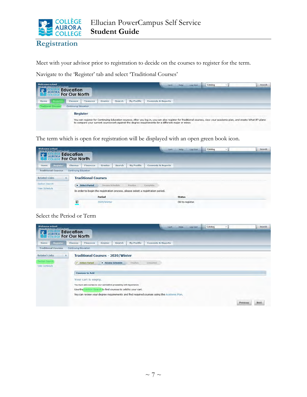

## Registration

Meet with your advisor prior to registration to decide on the courses to register for the term.

Navigate to the 'Register' tab and select 'Traditional Courses'

| <b>Welcome sytest</b><br>URORACQLLEGE\sytest) | <b>Education</b><br>For Our North |        |        |            | Cart                                                                                                                                                                                                                                                                         | Log Out | Catalog | $\sim$ | Search |
|-----------------------------------------------|-----------------------------------|--------|--------|------------|------------------------------------------------------------------------------------------------------------------------------------------------------------------------------------------------------------------------------------------------------------------------------|---------|---------|--------|--------|
| Home                                          | <b>Finances</b><br>Classes        | Grades | Search | My Profile | <b>Consents &amp; Reports</b>                                                                                                                                                                                                                                                |         |         |        |        |
| <b>Traditional Courses</b>                    | Continuing Education              |        |        |            |                                                                                                                                                                                                                                                                              |         |         |        |        |
|                                               | <b>Register</b>                   |        |        |            |                                                                                                                                                                                                                                                                              |         |         |        |        |
|                                               |                                   |        |        |            | You can register for Continuing Education courses. After you log in, you can also register for Traditional courses, view your academic plan, and create What If? plans<br>to compare your current coursework against the degree requirements for a different major or minor. |         |         |        |        |

The term which is open for registration will be displayed with an open green book icon.

| <b>Welcome sytest</b><br>(MYAURORACOLLEGE\sytest)<br>٦ô<br><b>AURORA</b> | <b>Education</b><br>For Our North |                            |                 |        |            | Cart                                                                             | Log Out<br>Help | Catalog | $\sim$ | Search |
|--------------------------------------------------------------------------|-----------------------------------|----------------------------|-----------------|--------|------------|----------------------------------------------------------------------------------|-----------------|---------|--------|--------|
| <b>Register</b><br>Home                                                  | Classes                           | <b>Finances</b>            | Grades          | Search | My Profile | <b>Consents &amp; Reports</b>                                                    |                 |         |        |        |
| <b>Traditional Courses</b>                                               | Continuing Education              |                            |                 |        |            |                                                                                  |                 |         |        |        |
| <b>Related Links</b><br>A.                                               |                                   | <b>Traditional Courses</b> |                 |        |            |                                                                                  |                 |         |        |        |
| Section Search                                                           |                                   | > Select Period            | Review Schedule |        | Finalize   | Complete                                                                         |                 |         |        |        |
| View Schedule                                                            |                                   |                            |                 |        |            | In order to begin the registration process, please select a registration period. |                 |         |        |        |
|                                                                          |                                   | <b>Period</b>              |                 |        |            |                                                                                  | <b>Status</b>   |         |        |        |
|                                                                          | D                                 |                            | 2020/Winter     |        |            |                                                                                  | OK to register. |         |        |        |

#### Select the Period or Term

| <b>Welcome sytest</b><br>(MYAURORACOLLEGE\sytest)<br><b>AURORA</b> | <b>Education</b><br>For Our North                               |                                                                                                                                                                                                                                                                                                                                                                                                                                                                                       |            | Cart Help Log Out                                                                                      | Catalog | $\mathcal{N}$ | Search           |
|--------------------------------------------------------------------|-----------------------------------------------------------------|---------------------------------------------------------------------------------------------------------------------------------------------------------------------------------------------------------------------------------------------------------------------------------------------------------------------------------------------------------------------------------------------------------------------------------------------------------------------------------------|------------|--------------------------------------------------------------------------------------------------------|---------|---------------|------------------|
| <b>Register</b><br>Home                                            | Classes<br>Finances                                             | Grades<br>Search                                                                                                                                                                                                                                                                                                                                                                                                                                                                      | My Profile | <b>Consents &amp; Reports</b>                                                                          |         |               |                  |
| <b>Traditional Courses</b>                                         | Continuing Education                                            |                                                                                                                                                                                                                                                                                                                                                                                                                                                                                       |            |                                                                                                        |         |               |                  |
| <b>Related Links</b><br>٨<br>Section Search<br>View Schedule       | V Select Period<br><b>Courses to Add</b><br>Your cart is empty. | <b>Traditional Courses - 2020/Winter</b><br>$1 + 11 + 11 + 111 + 111 + 111 + 111 + 1111 + 1111 + 1111 + 1111 + 1111 + 1111 + 1111 + 1111 + 1111 + 1111 + 1111 + 1111 + 1111 + 1111 + 1111 + 1111 + 1111 + 1111 + 1111 + 1111 + 1111 + 1111 + 1111 + 1111 + 1111 + 1111 + 1111 + 1111 + 1111 + 1111 + 1111 + 111$<br><b>E</b> Review Schedule<br>You must add courses to your cart before proceeding with registration.<br>Use the Section Search to find courses to add to your cart. | Finalize   | Complete<br>You can review your degree requirements and find required courses using the Academic Plan. |         |               | Next<br>Previous |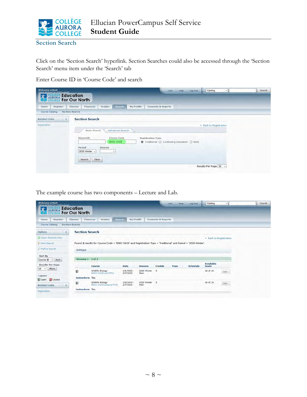

Section Search

Click on the 'Section Search' hyperlink. Section Searches could also be accessed through the 'Section Search' menu item under the 'Search' tab

Enter Course ID in 'Course Code' and search

| <b>Welcome sytest</b><br>(MYAURORACOLLEGE\sytest)<br><b>AURORA</b> | Search<br>Cart Help<br>Catalog<br>Lng Out<br>$\sim$<br><b>Education</b><br>For Our North                                                                                                                                                                                                                              |
|--------------------------------------------------------------------|-----------------------------------------------------------------------------------------------------------------------------------------------------------------------------------------------------------------------------------------------------------------------------------------------------------------------|
| Register<br>Home                                                   | Search<br>My Profile<br><b>Consents &amp; Reports</b><br>Classes<br><b>Finances</b><br>Grades                                                                                                                                                                                                                         |
| Course Catalog                                                     | <b>Section Search</b>                                                                                                                                                                                                                                                                                                 |
| <b>Related Links</b><br>A.<br>Registration                         | <b>Section Search</b><br>· Back to Registration<br><b>Advanced Search</b><br><b>Basic Search</b><br>Keywords<br>Course Code<br><b>Registration Type</b><br><b>ENSC 0103</b><br>$\odot$ Traditional $\odot$ Continuing Education $\odot$ Both<br>Period<br>Session<br>2020 Winter v<br>$\checkmark$<br>Clear<br>Search |
|                                                                    | Results Per Page 10 v                                                                                                                                                                                                                                                                                                 |

The example course has two components – Lecture and Lab.

| <b>Welcome sytest</b><br>(MYAURORACOLLEGE\sytest)<br><b>AURORA</b> | <b>Education</b><br>For Our North |                                                                                                                 |                             |                     | Cart                                                                                                           | <b>Help</b> . | Log Out  | Catalog                          | $\mathcal{M}$ | Search |
|--------------------------------------------------------------------|-----------------------------------|-----------------------------------------------------------------------------------------------------------------|-----------------------------|---------------------|----------------------------------------------------------------------------------------------------------------|---------------|----------|----------------------------------|---------------|--------|
| Home<br>Register                                                   | Classes                           | <b>Finances</b><br>Grades                                                                                       | <b>Search</b><br>My Profile |                     | <b>Consents &amp; Reports</b>                                                                                  |               |          |                                  |               |        |
| Course Catalog                                                     | <b>Section Search</b>             |                                                                                                                 |                             |                     |                                                                                                                |               |          |                                  |               |        |
| $\Delta$<br><b>Options</b><br>Open Sections Only                   | <b>Section Search</b>             |                                                                                                                 |                             |                     | iliyal da bara da wasan aliyal yan ya ya ya da ya bara da ya ba da ya ba da ya bara da ya ba da ya ba da ya ba |               |          | · Back to Registration           |               |        |
| New Search<br><sup>D</sup> Refine Search                           | Subtype                           | Found 2 results for Course Code = 'ENSC 0103' and Registration Type = 'Traditional' and Period = '2020 Winter', |                             |                     |                                                                                                                |               |          |                                  |               |        |
| Sort By<br>Course $ID \lor$<br>Sort                                | Showing $1 - 2$ of 2              |                                                                                                                 |                             |                     |                                                                                                                |               |          |                                  |               |        |
| <b>Results Per Page</b>                                            |                                   | Course                                                                                                          | Date                        | <b>Session</b>      | <b>Credits</b>                                                                                                 | Fees          | Schedule | <b>Available</b><br><b>Seats</b> |               |        |
| Show<br>$10 \sim$<br>Legend<br>Open Closed                         | o<br><b>Instructors: Tba</b>      | Wildlife Biology<br>ENSC 0103/Lab/TFS1                                                                          | $1/6/2020 -$<br>2/7/2020    | 2020 Winter<br>Main | 3                                                                                                              |               |          | 16 of 16                         | Add           |        |
| <b>Related Links</b>                                               | ï<br>Instructors: Tba             | Wildlife Biology<br>ENSC 0103/Lecture/TFS1                                                                      | $1/6/2020 -$<br>2/7/2020    | 2020 Winter<br>Main | 3                                                                                                              |               |          | 16 of 16                         | Add           |        |
| Registration                                                       |                                   |                                                                                                                 |                             |                     |                                                                                                                |               |          |                                  |               |        |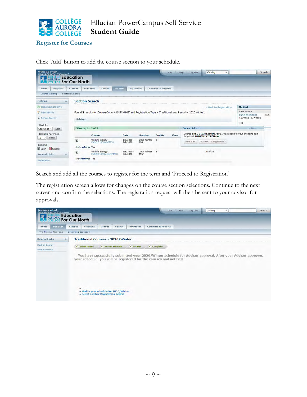

#### Register for Courses

Click 'Add' button to add the course section to your schedule.

| <b>Welcome sytest</b><br>(MYAURORACOLLEGE\sytest)<br><b>AURORA</b><br><b>COLLEGE</b> | <b>Education</b><br>For Our North |                                                                                                                                                             |                             |                     |                               | Cart | Catalog<br>Help<br>Log Out<br>$\sim$ |                                                | Search  |
|--------------------------------------------------------------------------------------|-----------------------------------|-------------------------------------------------------------------------------------------------------------------------------------------------------------|-----------------------------|---------------------|-------------------------------|------|--------------------------------------|------------------------------------------------|---------|
| Home<br>Register                                                                     | Classes                           | Grades<br><b>Finances</b>                                                                                                                                   | My Profile<br><b>Search</b> |                     | <b>Consents &amp; Reports</b> |      |                                      |                                                |         |
| Course Catalog                                                                       | <b>Section Search</b>             |                                                                                                                                                             |                             |                     |                               |      |                                      |                                                |         |
| $\Lambda$<br><b>Options</b>                                                          | <b>Section Search</b>             |                                                                                                                                                             |                             |                     |                               |      |                                      |                                                |         |
| Open Sections Only                                                                   |                                   |                                                                                                                                                             |                             |                     |                               |      | ▶ Back to Registration               | <b>My Cart</b>                                 |         |
| 37 New Search                                                                        |                                   | Found 2 results for Course Code = 'ENSC 0103' and Registration Type = 'Traditional' and Period = '2020 Winter'.                                             |                             |                     |                               |      |                                      | <b>Cart Items</b>                              |         |
| Refine Search                                                                        | Subtype                           |                                                                                                                                                             |                             |                     |                               |      |                                      | <b>ENSC 0103/TFS1</b><br>$1/6/2020 - 2/7/2020$ | $3$ Cr. |
| Sort By                                                                              |                                   |                                                                                                                                                             |                             |                     |                               |      |                                      | Tba                                            |         |
| Course $ID \vee$<br>Sort                                                             | Showing $1 - 2$ of 2              |                                                                                                                                                             |                             |                     |                               |      | <b>Course Added</b>                  | $-Hide$                                        |         |
| <b>Results Per Page</b>                                                              |                                   | Course ENSC 0103/Lecture/TFS1 was added to your shopping cart<br><b>Credits</b><br>Course<br>Date<br><b>Session</b><br>Fees<br>for period 2020/WINTER/Main. |                             |                     |                               |      |                                      |                                                |         |
| Show<br>$10 \times$                                                                  | <b>D</b>                          | Wildlife Biology<br>ENSC 0103/Lab/TFS1                                                                                                                      | $1/6/2020 -$<br>2/7/2020    | 2020 Winter<br>Main | $\overline{\mathbf{3}}$       |      | Proceed to Registration<br>View Cart |                                                |         |
| Legend<br>Open Closed                                                                | Instructors: Tba                  |                                                                                                                                                             |                             |                     |                               |      |                                      |                                                |         |
| <b>Related Links</b><br>A.                                                           | O                                 | Wildlife Biology<br>ENSC 0103/Lecture/TFS1                                                                                                                  | $1/6/2020 -$<br>2/7/2020    | 2020 Winter<br>Main | 3                             |      | 16 of 16                             |                                                |         |
| Registration                                                                         | Instructors: Tba                  |                                                                                                                                                             |                             |                     |                               |      |                                      |                                                |         |
|                                                                                      |                                   |                                                                                                                                                             |                             |                     |                               |      |                                      |                                                |         |

Search and add all the courses to register for the term and 'Proceed to Registration'

The registration screen allows for changes on the course section selections. Continue to the next screen and confirm the selections. The registration request will then be sent to your advisor for approvals.

| <b>Welcome sytest</b><br>(MYAURORACOLLEGE\sytest)<br><b>AURORA</b> | Catalog<br>Search<br><b>Help</b><br>$\checkmark$<br>Cart<br>Log Out<br><b>Education</b><br>For Our North                                                                                                                                                                                                    |
|--------------------------------------------------------------------|-------------------------------------------------------------------------------------------------------------------------------------------------------------------------------------------------------------------------------------------------------------------------------------------------------------|
| <b>Register</b><br>Home<br><b>Traditional Courses</b>              | Classes<br><b>Finances</b><br><b>My Profile</b><br><b>Consents &amp; Reports</b><br>Grades<br>Search<br>Continuing Education                                                                                                                                                                                |
| <b>Related Links</b><br>Section Search<br>View Schedule            | <b>Traditional Courses - 2020/Winter</b><br>√ Review Schedule<br>√ Complete<br>$\checkmark$ Finalize<br>Select Period<br>You have successfully submitted your 2020/Winter schedule for Advisor approval. After your Advisor approves<br>your schedule, you will be registered for the courses and notified. |
|                                                                    | . Modify your schedule for 2020/Winter<br>· Select another Registration Period                                                                                                                                                                                                                              |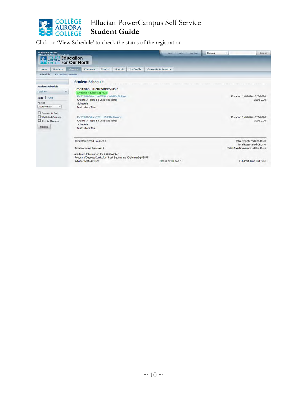

Click on 'View Schedule' to check the status of the registration

| <b>Welcome sytest</b>                                                                                                                                | (MYAURORACOLLEGE\sytest)<br><b>AURORA</b> | <b>Education</b><br>For Our North |                                                                                                                                                                                                                                                                                       |               |        |                                                            |                               | Help.<br>Cart       | Log Out | Catalog | Ń. |                                                                                                                               | Search                               |
|------------------------------------------------------------------------------------------------------------------------------------------------------|-------------------------------------------|-----------------------------------|---------------------------------------------------------------------------------------------------------------------------------------------------------------------------------------------------------------------------------------------------------------------------------------|---------------|--------|------------------------------------------------------------|-------------------------------|---------------------|---------|---------|----|-------------------------------------------------------------------------------------------------------------------------------|--------------------------------------|
| Home                                                                                                                                                 | Register                                  | Classes                           | <b>Finances</b>                                                                                                                                                                                                                                                                       | <b>Grades</b> | Search | My Profile                                                 | <b>Consents &amp; Reports</b> |                     |         |         |    |                                                                                                                               |                                      |
| Schedule                                                                                                                                             | <b>Permission Requests</b>                |                                   |                                                                                                                                                                                                                                                                                       |               |        |                                                            |                               |                     |         |         |    |                                                                                                                               |                                      |
|                                                                                                                                                      |                                           |                                   | <b>Student Schedule</b>                                                                                                                                                                                                                                                               |               |        |                                                            |                               |                     |         |         |    |                                                                                                                               |                                      |
| <b>Student Schedule</b><br>Options<br>Text Grid<br>Period<br>2020/Winter<br>$\Box$ Courses in Cart<br>Waitlisted Courses<br>Con Ed Courses<br>Submit | $\sim$                                    |                                   | Traditional 2020/Winter/Main<br>Awaiting Advisor Approval<br>ENSC 0103/Lecture/TFS1 - Wildlife Biology<br>Credits 3 Type 50 Grade passing<br>Schedule<br>Instructors Tba,<br>ENSC 0103/Lab/TFS1 - Wildlife Biology<br>Credits 3 Type 50 Grade passing<br>Schedule<br>Instructors Tba. |               |        |                                                            |                               |                     |         |         |    | Duration 1/6/2020 - 2/7/2020<br>Duration 1/6/2020 - 2/7/2020                                                                  | <b>CEUs 0.00</b><br><b>CEUs 0.00</b> |
|                                                                                                                                                      |                                           |                                   | <b>Total Registered Courses 0</b><br><b>Total Awaiting Approval 2</b><br>Academic Information for 2020/Winter<br><b>Advisor Test, Advisor</b>                                                                                                                                         |               |        | Program/Degree/Curriculum Post Secondary /Diploma/Dip ENRT |                               | Class Level Level 1 |         |         |    | Total Registered Credits 0<br><b>Total Registered CEUs 0</b><br>Total Awaiting Approval Credits 6<br>Full/Part Time Full Time |                                      |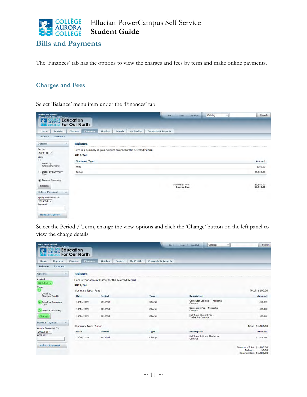

#### Bills and Payments

The 'Finances' tab has the options to view the charges and fees by term and make online payments.

#### Charges and Fees

Select 'Balance' menu item under the 'Finances' tab

| <b>Welcome sytest</b><br>(MYAURORACOLLEGE\sytest)<br><b>AURORA</b><br>COLLEGE | <b>Education</b><br>For Our North |                                  |        |        |                                                                    | Cart                          | Help<br>Log Out                | Catalog | NG | Search                   |
|-------------------------------------------------------------------------------|-----------------------------------|----------------------------------|--------|--------|--------------------------------------------------------------------|-------------------------------|--------------------------------|---------|----|--------------------------|
| Register<br>Home                                                              | Classes                           | <b>Finances</b>                  | Grades | Search | <b>My Profile</b>                                                  | <b>Consents &amp; Reports</b> |                                |         |    |                          |
| Balance<br>Statement                                                          |                                   |                                  |        |        |                                                                    |                               |                                |         |    |                          |
| Options<br>×.                                                                 |                                   | <b>Balance</b>                   |        |        |                                                                    |                               |                                |         |    |                          |
| Period<br>2019/Fall v<br>View<br>$\circ$                                      |                                   | 2019/Fall<br><b>Summary Type</b> |        |        | Here is a summary of your account balance for the selected Period. |                               |                                |         |    | <b>Amount</b>            |
| Detail by<br>Charges/Credits                                                  | Fees                              |                                  |        |        |                                                                    |                               |                                |         |    | \$100.00                 |
| O Detail by Summary<br>Type                                                   | Tuition                           |                                  |        |        |                                                                    |                               |                                |         |    | \$1,800.00               |
| C Balance Summary<br>Change<br>Make a Payment<br>×                            |                                   |                                  |        |        |                                                                    |                               | Summary Total:<br>Balance Due: |         |    | \$1,900.00<br>\$1,900.00 |
| Apply Payment To<br>2019/Fall v<br>Amount<br><b>Make a Payment</b>            |                                   |                                  |        |        |                                                                    |                               |                                |         |    |                          |

Select the Period / Term, change the view options and click the 'Change' button on the left panel to view the charge details

| <b>Welcome sytest</b><br>(MYAURORACOLLEGE\sytest)<br><b>AURORA</b><br>COLLEGE | <b>Education</b><br>For Our North |                                                                             |           |        |                   | Cart                          | Catalog<br><b>Help</b><br>Log Out          | Search<br>$\checkmark$                                                     |
|-------------------------------------------------------------------------------|-----------------------------------|-----------------------------------------------------------------------------|-----------|--------|-------------------|-------------------------------|--------------------------------------------|----------------------------------------------------------------------------|
| Home<br>Register                                                              | Classes                           | <b>Finances</b>                                                             | Grades    | Search | <b>My Profile</b> | <b>Consents &amp; Reports</b> |                                            |                                                                            |
| Statement<br>Balance                                                          |                                   |                                                                             |           |        |                   |                               |                                            |                                                                            |
| <b>Options</b><br>$\boldsymbol{\mathcal{N}}$                                  | <b>Balance</b>                    |                                                                             |           |        |                   |                               |                                            |                                                                            |
| Period<br>2019/Fall ~<br><b>View</b>                                          | <b>2019/Fall</b>                  | Here is your Account History for the selected Period.<br>Summary Type: Fees |           |        |                   |                               |                                            | Total: \$100.00                                                            |
| Detail by<br>Charges/Credits                                                  | Date                              |                                                                             | Period    |        |                   | Type                          | <b>Description</b>                         | <b>Amount</b>                                                              |
| · Detail by Summary<br>Type                                                   |                                   | 11/14/2019                                                                  | 2019/Fall |        |                   | Charge                        | Computer Lab Fee - Thebacha<br>Campus      | \$50.00                                                                    |
| <b>Balance Summary</b>                                                        |                                   | 11/14/2019                                                                  | 2019/Fall |        |                   | Charge                        | Recreation Fee - Thebacha<br>Campus        | \$25.00                                                                    |
| Change                                                                        |                                   | 11/14/2019                                                                  | 2019/Fall |        |                   | Charge                        | Full Time Student Fee -<br>Thebacha Campus | \$25.00                                                                    |
| Make a Payment<br>$\Lambda$<br><b>Apply Payment To</b>                        |                                   | Summary Type: Tuition                                                       |           |        |                   |                               |                                            | Total: \$1,800.00                                                          |
| 2019/Fall $\vee$                                                              | Date                              |                                                                             | Period    |        |                   | <b>Type</b>                   | <b>Description</b>                         | <b>Amount</b>                                                              |
| Amount                                                                        |                                   | 11/14/2019                                                                  | 2019/Fall |        |                   | Charge                        | Full Time Tuition - Thebacha<br>Campus     | \$1,800.00                                                                 |
| <b>Make a Payment</b>                                                         |                                   |                                                                             |           |        |                   |                               |                                            | Summary Total: \$1,900.00<br>Balance:<br>\$0.00<br>Balance Due: \$1,900.00 |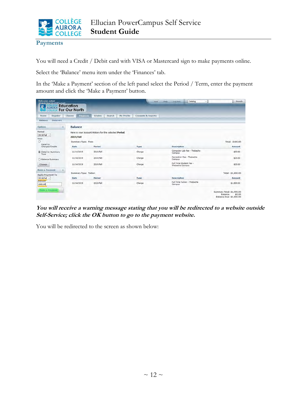

#### Payments

You will need a Credit / Debit card with VISA or Mastercard sign to make payments online.

Select the 'Balance' menu item under the 'Finances' tab.

In the 'Make a Payment' section of the left panel select the Period / Term, enter the payment amount and click the 'Make a Payment' button.

| Register<br><b>Home</b>                   | Classes<br><b>Finances</b>      | Grades<br>Search                                      | My Profile<br><b>Consents &amp; Reports</b> |                                            |                   |
|-------------------------------------------|---------------------------------|-------------------------------------------------------|---------------------------------------------|--------------------------------------------|-------------------|
| Balance<br>Statement                      |                                 |                                                       |                                             |                                            |                   |
| <b>Options</b>                            | <b>Balance</b>                  |                                                       |                                             |                                            |                   |
| Period<br>2019/Fall ~<br>View<br>$\circ$  | 2019/Fall<br>Summary Type: Fees | Here is your Account History for the selected Period. |                                             |                                            | Total: \$100.00   |
| Detail by<br>Charges/Credits              | Date                            | Period                                                | Type                                        | <b>Description</b>                         | Amount            |
| C Detail by Summary<br>Type               | 11/14/2019                      | 2019/Fall                                             | Charge                                      | Computer Lab Fee - Thebacha<br>Campus      | \$50.00           |
| ○ Balance Summary                         | 11/14/2019                      | 2019/Fall                                             | Charge                                      | Recreation Fee - Thebacha<br>Campus        | \$25.00           |
| Change                                    | 11/14/2019                      | 2019/Fall                                             | Charge                                      | Full Time Student Fee -<br>Thebacha Campus | \$25.00           |
| Make a Payment<br>i A<br>Apply Payment To | Summary Type: Tuition           |                                                       |                                             |                                            | Total: \$1,800.00 |
| 2019/Fall v                               | Date                            | Period                                                | Type                                        | <b>Description</b>                         | Amount            |
| Amount<br>1000.00                         | 11/14/2019                      | 2019/Fall                                             | Charge                                      | Full Time Tuition - Thebacha<br>Campus     | \$1,800.00        |

You will receive a warning message stating that you will be redirected to a website outside Self-Service; click the OK button to go to the payment website.

You will be redirected to the screen as shown below: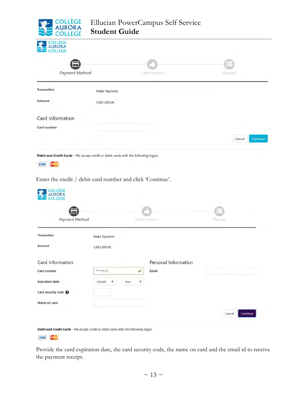

| $\equiv$<br>Payment Method | Confirmation | $\oplus$<br>Receipt |
|----------------------------|--------------|---------------------|
| Transaction                | Make Payment |                     |
| Amount                     | CA\$1,000.00 |                     |
| Card Information           |              |                     |
| Card number                |              |                     |
|                            |              | Continue<br>Cancel  |

Enter the credit / debit card number and click 'Continue'.

| <b>COL</b>             |                 |      |              |                      |         |          |
|------------------------|-----------------|------|--------------|----------------------|---------|----------|
| Payment Method         |                 |      |              | Confirmation         | Receipt |          |
| <b>Transaction</b>     | Make Payment    |      |              |                      |         |          |
| Amount                 | CA\$1,000.00    |      |              |                      |         |          |
| Card Information       |                 |      |              | Personal Information |         |          |
| Card number            | <b>RRRR1111</b> |      | $\checkmark$ | Email                |         |          |
| <b>Expiration date</b> | Month<br>٠      | Year | ٠            |                      |         |          |
| Card security code @   |                 |      |              |                      |         |          |
| Name on card           |                 |      |              |                      |         |          |
|                        |                 |      |              |                      | Cancel  | Continue |

VISA

Provide the card expiration date, the card security code, the name on card and the email id to receive the payment receipt.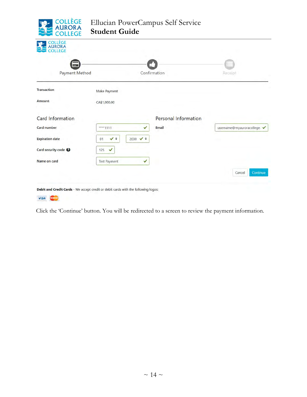

| COLLEGE<br><b>AURORA</b><br>COLLEGE |  |
|-------------------------------------|--|
|                                     |  |

| Payment Method         |                     | Confirmation          | Recept                      |
|------------------------|---------------------|-----------------------|-----------------------------|
| <b>Transaction</b>     | Make Payment        |                       |                             |
| Amount                 | CA\$1,000.00        |                       |                             |
| Card Information       |                     | Personal Information  |                             |
| Card number            | **** 1111           | $\checkmark$<br>Email | username@myauroracollege. V |
| <b>Expiration date</b> | $\checkmark$<br>01  | 2030 $\sqrt{ }$       |                             |
| Card security code @   | ✓<br>125            |                       |                             |
| Name on card           | <b>Test Payment</b> | ✓                     |                             |
|                        |                     |                       | Continue                    |

VISA

Click the 'Continue' button. You will be redirected to a screen to review the payment information.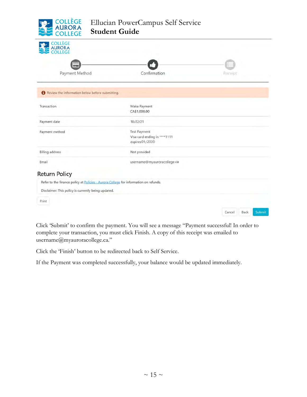

| <b>COLLÈGE</b><br>AURORA<br>COLLEGE                                                                                                         |                                                                         |                          |
|---------------------------------------------------------------------------------------------------------------------------------------------|-------------------------------------------------------------------------|--------------------------|
| Payment Method                                                                                                                              | Confirmation                                                            | Receipt                  |
| Review the information below before submitting.                                                                                             |                                                                         |                          |
| Transaction.                                                                                                                                | Make Payment<br>CA\$1,000.00                                            |                          |
| Payment date                                                                                                                                | 10/22/21                                                                |                          |
| Payment method                                                                                                                              | <b>Test Payment</b><br>Visa card ending in **** 1111<br>expires 01/2030 |                          |
| <b>Billing address</b>                                                                                                                      | Not provided                                                            |                          |
| Email                                                                                                                                       | username@myauroracollege.ca                                             |                          |
| <b>Return Policy</b>                                                                                                                        |                                                                         |                          |
| Refer to the finance policy at Policies - Aurora College for information on refunds.<br>Disclaimer: This policy is currently being updated. |                                                                         |                          |
| Print                                                                                                                                       |                                                                         |                          |
|                                                                                                                                             |                                                                         | Submit<br>Back<br>Cancel |

Click 'Submit' to confirm the payment. You will see a message "Payment successful! In order to complete your transaction, you must click Finish. A copy of this receipt was emailed to username@myauroracollege.ca."

Click the 'Finish' button to be redirected back to Self Service.

If the Payment was completed successfully, your balance would be updated immediately.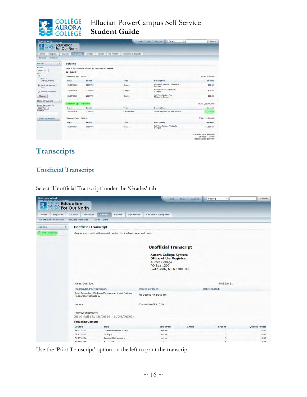

| <b>Welcome sytest</b><br>(NYAURORACOLLEGE) sytest)<br><b>AURORA</b><br><b>COLLEGE</b> | <b>Education</b><br>For Our North |                                                                                          |           |        |                   | Cart.                         | Catalog<br><b>Halp</b><br>$\sim$<br>$\mathcal{L}$<br>Lug Out | Search                                                              |
|---------------------------------------------------------------------------------------|-----------------------------------|------------------------------------------------------------------------------------------|-----------|--------|-------------------|-------------------------------|--------------------------------------------------------------|---------------------------------------------------------------------|
| Register<br>Home                                                                      | Classes                           | Finances                                                                                 | Grades    | Search | <b>Hy Profile</b> | <b>Consents &amp; Reports</b> |                                                              |                                                                     |
| Statement<br>Balance                                                                  |                                   |                                                                                          |           |        |                   |                               |                                                              |                                                                     |
| <b>Options</b>                                                                        | $\mathcal{A}_\mathbf{r}$          | <b>Balance</b><br>a displayed a postage of the company of the company of the second      |           |        |                   |                               |                                                              |                                                                     |
| Period<br>2019/Fall v<br>View<br>O                                                    |                                   | Here is your Account History for the selected Period.<br>2019/Fall<br>Summary Type: Fees |           |        |                   |                               |                                                              | Total: \$100.00                                                     |
| Detail by<br>Charges/Credits                                                          | Date                              |                                                                                          | Period    |        |                   | Type                          | <b>Description</b>                                           | <b>Amount</b>                                                       |
| C Detail by Summary<br>Type                                                           |                                   | 11/14/2019                                                                               | 2019/Fall |        |                   | Charge                        | Computer Lab Fee - Thebacha<br>Campus                        | \$50.00                                                             |
| Balance Summary                                                                       |                                   | 11/14/2019                                                                               | 2019/Fall |        |                   | Charge                        | Recreation Fee - Thebacha<br>Campus                          | \$25.00                                                             |
| Change                                                                                |                                   | 11/14/2019                                                                               | 2019/Fall |        |                   | Charge                        | Full Time Student Fee -<br>Thebacha Campus                   | \$25.00                                                             |
| Make a Payment                                                                        | a.                                |                                                                                          |           |        |                   |                               |                                                              |                                                                     |
| Apply Payment To                                                                      |                                   | Summary Type: Payments                                                                   |           |        |                   |                               |                                                              | Total: (\$1,000.00)                                                 |
| $2019$ /Fall $\sim$<br>Amount                                                         | <b>Date</b>                       |                                                                                          | Period    |        |                   | Type                          | Description                                                  | Amount                                                              |
|                                                                                       |                                   | 10/22/2019                                                                               | 2019/Fall |        |                   | Cash Receipt                  | Online Payment via Self Service                              | \$1,000.00                                                          |
| <b>Make a Payment</b>                                                                 |                                   | Summary Type: Tuition.                                                                   |           |        |                   |                               |                                                              | Total: \$1,800.00                                                   |
|                                                                                       | Date                              |                                                                                          | Period    |        |                   | Type                          | Description                                                  | Amount                                                              |
|                                                                                       |                                   | 11/14/2019                                                                               | 2019/Fall |        |                   | Charge                        | Full Time Tuition - Thebacha<br>Campus                       | \$1,800.00                                                          |
|                                                                                       |                                   |                                                                                          |           |        |                   |                               |                                                              | Summary Total: \$900.00<br>Balance: \$0.00<br>Balance Due: \$900.00 |

## **Transcripts**

#### Unofficial Transcript

Select 'Unofficial Transcript' under the 'Grades' tab

| <b>Welcome sytest</b>   | (MYAURORACOLLEGE\sytest)<br><b>AURORA</b><br><b>COLLEGE For Our North</b> | <b>Education</b>             |                                                                       | Cart                                                                                                                                | Help Log Out | Catalog<br>$\sim$ | Search                |
|-------------------------|---------------------------------------------------------------------------|------------------------------|-----------------------------------------------------------------------|-------------------------------------------------------------------------------------------------------------------------------------|--------------|-------------------|-----------------------|
| Home                    | Register                                                                  | Classes<br>Finances          | Grades<br>Search<br><b>My Profile</b>                                 | <b>Consents &amp; Reports</b>                                                                                                       |              |                   |                       |
|                         | <b>Unofficial Transcript</b>                                              | Request Transcript           | Grade Report                                                          |                                                                                                                                     |              |                   |                       |
| Options                 | ×                                                                         | <b>Unofficial Transcript</b> |                                                                       |                                                                                                                                     |              |                   |                       |
| <b>Print Trenscript</b> |                                                                           |                              | Here is your unofficial transcript, sorted by academic year and term. |                                                                                                                                     |              |                   |                       |
|                         |                                                                           |                              |                                                                       | <b>Unofficial Transcript</b>                                                                                                        |              |                   |                       |
|                         |                                                                           |                              |                                                                       | <b>Aurora College System</b><br><b>Office of the Registrar</b><br><b>Aurora College</b><br>PO Box 1290<br>Fort Smith, NT NT X0E 0P0 |              |                   |                       |
|                         |                                                                           | Name: Doe, Joe               |                                                                       |                                                                                                                                     |              | DOB:Jan 31        |                       |
|                         |                                                                           | Program/Degree/Curriculum:   |                                                                       | Degree Awarded:                                                                                                                     |              | Date Granted:     |                       |
|                         |                                                                           | <b>Resources Technology</b>  | Post Secondary/Diploma/Environment and Natural                        | No Degree Awarded Yet                                                                                                               |              |                   |                       |
|                         |                                                                           | Honors:                      |                                                                       | Cumulative GPA: 0.00                                                                                                                |              |                   |                       |
|                         |                                                                           | <b>Previous Institution:</b> |                                                                       |                                                                                                                                     |              |                   |                       |
|                         |                                                                           |                              | 2019 Fall (8/18/2019 - 1/24/2020)                                     |                                                                                                                                     |              |                   |                       |
|                         |                                                                           | <b>Thebacha Campus</b>       |                                                                       |                                                                                                                                     |              |                   |                       |
|                         |                                                                           | Course                       | Title                                                                 | Sub Type                                                                                                                            | Grade        | Credits           | <b>Quality Points</b> |
|                         |                                                                           | <b>ENSC 0101</b>             | Communications & Tec.                                                 | Lecture                                                                                                                             |              | 3                 | 0.00                  |
|                         |                                                                           | <b>ENSC 0102</b>             | Ecology                                                               | Lecture                                                                                                                             |              | $\overline{3}$    | 0.00                  |
|                         |                                                                           | <b>ENSC 0104</b>             | <b>Applied Mathematics</b>                                            | Lecture                                                                                                                             |              | 3                 | 0.00                  |
|                         |                                                                           | ENRC OINT                    | Analized Pammidge Ana                                                 | Employee                                                                                                                            |              | $\Rightarrow$     | o no                  |

Use the 'Print Transcript' option on the left to print the transcript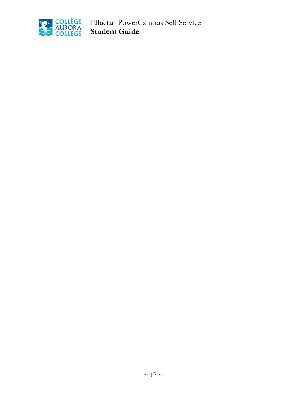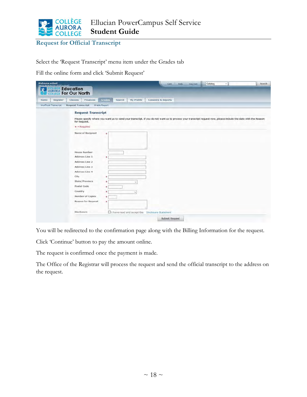

#### Request for Official Transcript

Select the 'Request Transcript' menu item under the Grades tab

Fill the online form and click 'Submit Request'

| Home<br>Register             | Finances<br>Classes       | Grades              | <b>My Profile</b><br>Search | <b>Consents &amp; Reports</b> |  |                                                                                                                                                                 |
|------------------------------|---------------------------|---------------------|-----------------------------|-------------------------------|--|-----------------------------------------------------------------------------------------------------------------------------------------------------------------|
| <b>Unofficial Transcript</b> | <b>Request Transcript</b> | Grade Report        |                             |                               |  |                                                                                                                                                                 |
|                              | <b>Request Transcript</b> |                     |                             |                               |  |                                                                                                                                                                 |
|                              | for Request.              |                     |                             |                               |  | Please specify where you want us to send your transcript. If you do not want us to process your transcript request now, please include the date with the Reason |
|                              | $\star$ = Required        |                     |                             |                               |  |                                                                                                                                                                 |
|                              | <b>Name of Recipient</b>  | ÷                   |                             |                               |  |                                                                                                                                                                 |
|                              |                           |                     |                             |                               |  |                                                                                                                                                                 |
|                              |                           |                     |                             |                               |  |                                                                                                                                                                 |
|                              | <b>House Number</b>       |                     |                             |                               |  |                                                                                                                                                                 |
|                              | <b>Address Line 1</b>     | $\star$             |                             |                               |  |                                                                                                                                                                 |
|                              | Address Line 2            |                     |                             |                               |  |                                                                                                                                                                 |
|                              | Address Line 3            |                     |                             |                               |  |                                                                                                                                                                 |
|                              | Address Line 4            |                     |                             |                               |  |                                                                                                                                                                 |
|                              | City                      | $\scriptstyle\star$ |                             |                               |  |                                                                                                                                                                 |
|                              | State/Province            | Ħ                   | $\checkmark$                |                               |  |                                                                                                                                                                 |
|                              | <b>Postal Code</b>        | ₩                   |                             |                               |  |                                                                                                                                                                 |
|                              | Country                   | *                   | ŵ                           |                               |  |                                                                                                                                                                 |
|                              | Number of Copies          | ×.                  |                             |                               |  |                                                                                                                                                                 |
|                              |                           |                     |                             |                               |  |                                                                                                                                                                 |
|                              | <b>Reason for Request</b> | *                   |                             |                               |  |                                                                                                                                                                 |

You will be redirected to the confirmation page along with the Billing Information for the request.

Click 'Continue' button to pay the amount online.

The request is confirmed once the payment is made.

The Office of the Registrar will process the request and send the official transcript to the address on the request.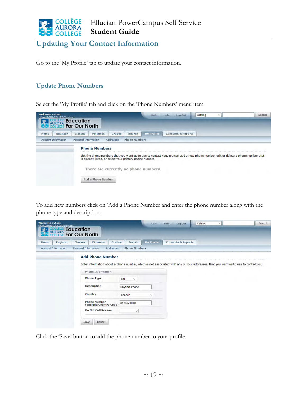

## Updating Your Contact Information

Go to the 'My Profile' tab to update your contact information.

#### Update Phone Numbers

Select the 'My Profile' tab and click on the 'Phone Numbers' menu item

| <b>Welcome sytest</b> | (MYAURORACOLLEGE\sytest)<br><b>AURORA</b><br>COLLEGE For Our North | <b>Education</b>     |                                                                                                       |           |                      | Cart                                  | Help Log Out                  | Catalog<br>$\checkmark$                                                                                                           | Search |
|-----------------------|--------------------------------------------------------------------|----------------------|-------------------------------------------------------------------------------------------------------|-----------|----------------------|---------------------------------------|-------------------------------|-----------------------------------------------------------------------------------------------------------------------------------|--------|
| Home                  | Register                                                           | Classes              | <b>Finances</b>                                                                                       | Grades    | Search               | <b>My Profile</b>                     | <b>Consents &amp; Reports</b> |                                                                                                                                   |        |
|                       | <b>Account Information</b>                                         | Personal Information |                                                                                                       | Addresses | <b>Phone Numbers</b> |                                       |                               |                                                                                                                                   |        |
|                       |                                                                    |                      | <b>Phone Numbers</b><br>is already listed, or select your primary phone number.<br>Add a Phone Number |           |                      | There are currently no phone numbers. |                               | List the phone numbers that you want us to use to contact you. You can add a new phone number, edit or delete a phone number that |        |

To add new numbers click on 'Add a Phone Number and enter the phone number along with the phone type and description.

| <b>Welcome sytest</b><br>(MYAURORACOLLEGE\sytest)<br><b>AURORA</b> | <b>Education</b><br><b>OLLEGE For Our North</b>                            |                                                     | Cart Help<br>Log Out          | Catalog<br>$\checkmark$                                                                                                             | Search |
|--------------------------------------------------------------------|----------------------------------------------------------------------------|-----------------------------------------------------|-------------------------------|-------------------------------------------------------------------------------------------------------------------------------------|--------|
| Register<br>Home<br>Account Information                            | Classes<br>Grades<br><b>Finances</b><br>Personal Information<br>Addresses  | <b>My Profile</b><br>Search<br><b>Phone Numbers</b> | <b>Consents &amp; Reports</b> |                                                                                                                                     |        |
|                                                                    | <b>Add Phone Number</b>                                                    |                                                     |                               | Enter information about a phone number, which is not associated with any of your addresses, that you want us to use to contact you. |        |
|                                                                    | <b>Phone Information</b><br><b>Phone Type</b>                              | Cell<br>$\checkmark$                                |                               |                                                                                                                                     |        |
|                                                                    | <b>Description</b><br>Country                                              | Daytime Phone<br>Canada<br>$\checkmark$             |                               |                                                                                                                                     |        |
|                                                                    | <b>Phone Number</b><br>(Exclude Country Code)<br><b>Do Not Call Reason</b> | 8678720000<br>v                                     |                               |                                                                                                                                     |        |
|                                                                    | Cancel<br>Save                                                             |                                                     |                               |                                                                                                                                     |        |

Click the 'Save' button to add the phone number to your profile.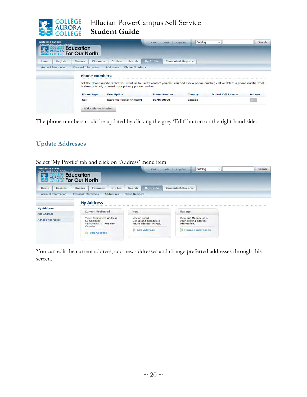

| <b>Welcome sytest</b> | (MYAURORACOLLEGE\sytest)<br><b>AURORA</b> | <b>Education</b><br><b>OLLEGE For Our North</b> |                                                                              |                               |                      | Cart              | Help Log Out                  | Catalog        | $\sim$                                                                                                                                                         | Search         |
|-----------------------|-------------------------------------------|-------------------------------------------------|------------------------------------------------------------------------------|-------------------------------|----------------------|-------------------|-------------------------------|----------------|----------------------------------------------------------------------------------------------------------------------------------------------------------------|----------------|
| Home                  | Register                                  | Classes                                         | <b>Finances</b>                                                              | Grades                        | Search               | <b>My Profile</b> | <b>Consents &amp; Reports</b> |                |                                                                                                                                                                |                |
|                       | Account Information                       | Personal Information                            |                                                                              | Addresses                     | <b>Phone Numbers</b> |                   |                               |                |                                                                                                                                                                |                |
|                       |                                           |                                                 | <b>Phone Numbers</b>                                                         |                               |                      |                   |                               |                |                                                                                                                                                                |                |
|                       |                                           |                                                 | is already listed, or select your primary phone number.<br><b>Phone Type</b> | <b>Description</b>            |                      |                   | <b>Phone Number</b>           | <b>Country</b> | List the phone numbers that you want us to use to contact you. You can add a new phone number, edit or delete a phone number that<br><b>Do Not Call Reason</b> | <b>Actions</b> |
|                       |                                           | Cell                                            |                                                                              | <b>Daytime Phone(Primary)</b> |                      | 8678720000        |                               | Canada         |                                                                                                                                                                | Exit           |
|                       |                                           |                                                 | Add a Phone Number                                                           |                               |                      |                   |                               |                |                                                                                                                                                                |                |

The phone numbers could be updated by clicking the grey 'Edit' button on the right-hand side.

#### Update Addresses

Select 'My Profile' tab and click on 'Address' menu item

| <b>Welcome sytest</b> | (MYAURORACOLLEGE\sytest)<br><b>AURORA</b><br><b>OLLEGE For Our North</b> | <b>Education</b>     |                                                                             |                  |                      | Cart                                                            | Help<br>Log Out               | Catalog                                         | $\ddot{}$ | Search |
|-----------------------|--------------------------------------------------------------------------|----------------------|-----------------------------------------------------------------------------|------------------|----------------------|-----------------------------------------------------------------|-------------------------------|-------------------------------------------------|-----------|--------|
| Home                  | Register                                                                 | Classes              | <b>Finances</b>                                                             | Grades           | Search               | <b>My Profile</b>                                               | <b>Consents &amp; Reports</b> |                                                 |           |        |
|                       | <b>Account Information</b>                                               | Personal Information |                                                                             | <b>Addresses</b> | <b>Phone Numbers</b> |                                                                 |                               |                                                 |           |        |
|                       |                                                                          |                      | <b>My Address</b>                                                           |                  |                      |                                                                 |                               |                                                 |           |        |
| <b>My Address</b>     |                                                                          |                      | <b>Current Preferred</b>                                                    |                  |                      |                                                                 |                               |                                                 |           |        |
| Add Address           |                                                                          |                      |                                                                             |                  | New.                 |                                                                 | Manage                        |                                                 |           |        |
| Manage Addresses      |                                                                          |                      | Type: Permanent Address<br>50 Conibear<br>Yellowknife, NT X0E 0Y0<br>Canada |                  |                      | Moving soon?<br>Set up and schedule a<br>future address change. | information.                  | View and Manage all of<br>your existing address |           |        |
|                       |                                                                          |                      | <b>S</b> Edit Address                                                       |                  | dia.                 | <b>Add Address</b>                                              |                               | <b>Manage Addresses</b>                         |           |        |

You can edit the current address, add new addresses and change preferred addresses through this screen.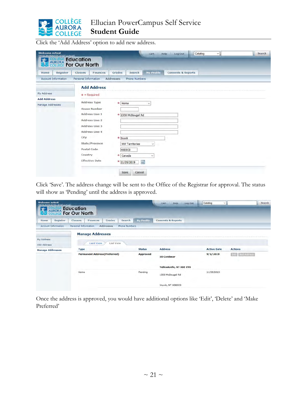

Click the 'Add Address' option to add new address.

| <b>COLLEGE</b><br>Register<br>Home | For Our North<br><b>My Profile</b><br>Classes<br><b>Finances</b><br>Grades<br>Search<br><b>Consents &amp; Reports</b>                                                                                                                                                                                                                                                                   |  |
|------------------------------------|-----------------------------------------------------------------------------------------------------------------------------------------------------------------------------------------------------------------------------------------------------------------------------------------------------------------------------------------------------------------------------------------|--|
| Account Information                | Personal Information<br><b>Addresses</b><br><b>Phone Numbers</b>                                                                                                                                                                                                                                                                                                                        |  |
|                                    | <b>Add Address</b>                                                                                                                                                                                                                                                                                                                                                                      |  |
| My Address                         | $\star$ = Required                                                                                                                                                                                                                                                                                                                                                                      |  |
| <b>Add Address</b>                 |                                                                                                                                                                                                                                                                                                                                                                                         |  |
| Manage Addresses                   | <b>Address Type</b><br>Home<br>$\ast$<br>$\sim$<br><b>House Number</b><br><b>Address Line 1</b><br>* 1350 McDougal Rd<br><b>Address Line 2</b><br><b>Address Line 3</b><br><b>Address Line 4</b><br>City<br>* Inuvik<br>State/Province<br><b>NW Territories</b><br>$\sim$<br>Postal Code<br>X0E0C0<br>Country<br>÷<br>Canada<br>$\sim$<br><b>Effective Date</b><br>12<br>$*$ 11/29/2019 |  |

Click 'Save'. The address change will be sent to the Office of the Registrar for approval. The status will show as 'Pending' until the address is approved.

| <b>Welcome sytest</b><br>(MYAURORACOLLEGE\sytest)<br><b>AURORA</b> | <b>Education</b><br><b>LEGE For Our North</b>            |                             | Cart<br>Help Log Out          | Catalog<br>N.      | Search             |
|--------------------------------------------------------------------|----------------------------------------------------------|-----------------------------|-------------------------------|--------------------|--------------------|
| Home<br>Register                                                   | Classes<br><b>Finances</b><br>Grades                     | <b>My Profile</b><br>Search | <b>Consents &amp; Reports</b> |                    |                    |
| <b>Account Information</b>                                         | Personal Information<br>Addresses                        | Phone Numbers               |                               |                    |                    |
| My Address<br>Add Address                                          | <b>Manage Addresses</b><br><b>Card View</b><br>List View |                             |                               |                    |                    |
| <b>Manage Addresses</b>                                            | <b>Type</b>                                              | <b>Status</b>               | <b>Address</b>                | <b>Active Date</b> | <b>Actions</b>     |
|                                                                    | <b>Permanent Address(Preferred)</b>                      | Approved                    | <b>50 Conibear</b>            | 9/1/2019           | <b>Add Address</b> |
|                                                                    |                                                          |                             | Yellowknife, NT XOE OYO       |                    |                    |
|                                                                    | Home                                                     | Pending                     | 1350 McDougal Rd              | 11/29/2019         |                    |
|                                                                    |                                                          |                             | Inuvik, NT X0E0C0             |                    |                    |
|                                                                    |                                                          |                             |                               |                    |                    |

Once the address is approved, you would have additional options like 'Edit', 'Delete' and 'Make Preferred'